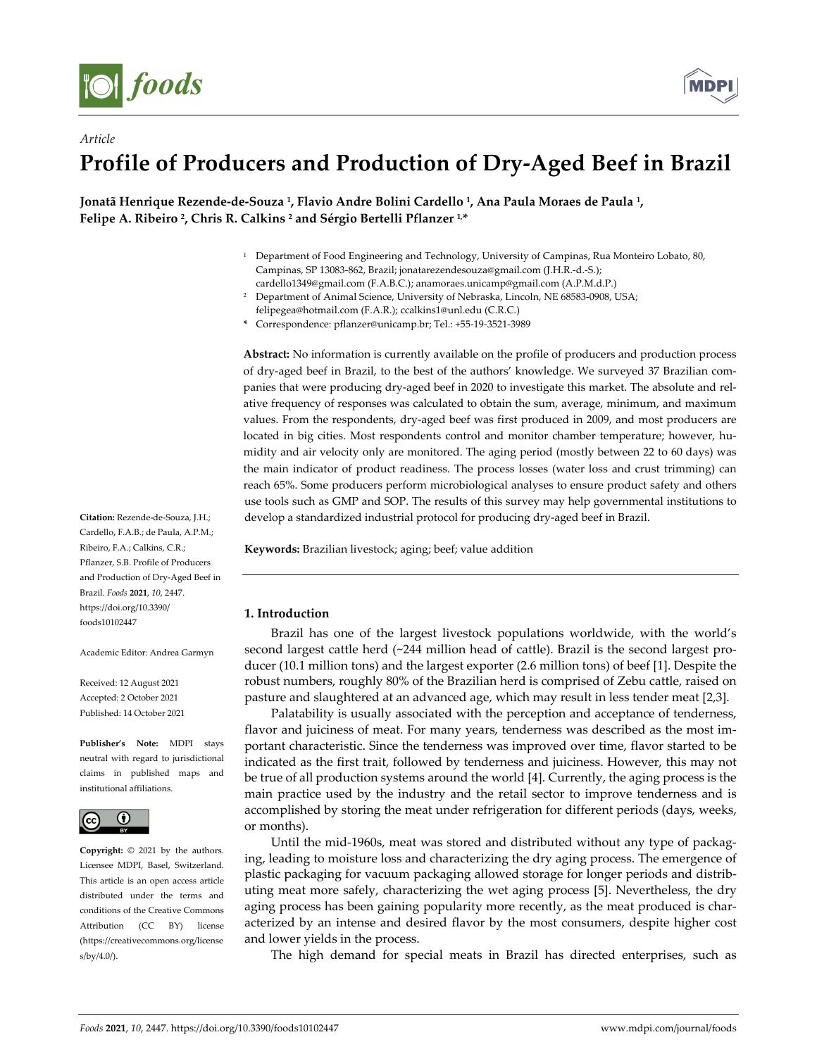

*Article*



# **Profile of Producers and Production of Dry‐Aged Beef in Brazil**

Jonatã Henrique Rezende-de-Souza <sup>1</sup>, Flavio Andre Bolini Cardello <sup>1</sup>, Ana Paula Moraes de Paula <sup>1</sup>, **Felipe A. Ribeiro 2, Chris R. Calkins <sup>2</sup> and Sérgio Bertelli Pflanzer 1,\***

- <sup>1</sup> Department of Food Engineering and Technology, University of Campinas, Rua Monteiro Lobato, 80, Campinas, SP 13083‐862, Brazil; jonatarezendesouza@gmail.com (J.H.R.‐d.‐S.);
- cardello1349@gmail.com (F.A.B.C.); anamoraes.unicamp@gmail.com (A.P.M.d.P.) <sup>2</sup> Department of Animal Science, University of Nebraska, Lincoln, NE 68583-0908, USA;

**Abstract:** No information is currently available on the profile of producers and production process of dry‐aged beef in Brazil, to the best of the authors' knowledge. We surveyed 37 Brazilian com‐ panies that were producing dry-aged beef in 2020 to investigate this market. The absolute and relative frequency of responses was calculated to obtain the sum, average, minimum, and maximum values. From the respondents, dry‐aged beef was first produced in 2009, and most producers are located in big cities. Most respondents control and monitor chamber temperature; however, humidity and air velocity only are monitored. The aging period (mostly between 22 to 60 days) was the main indicator of product readiness. The process losses (water loss and crust trimming) can reach 65%. Some producers perform microbiological analyses to ensure product safety and others use tools such as GMP and SOP. The results of this survey may help governmental institutions to develop a standardized industrial protocol for producing dry‐aged beef in Brazil.

**Keywords:** Brazilian livestock; aging; beef; value addition

# **1. Introduction**

Brazil has one of the largest livestock populations worldwide, with the world's second largest cattle herd (~244 million head of cattle). Brazil is the second largest producer (10.1 million tons) and the largest exporter (2.6 million tons) of beef [1]. Despite the robust numbers, roughly 80% of the Brazilian herd is comprised of Zebu cattle, raised on pasture and slaughtered at an advanced age, which may result in less tender meat [2,3].

Palatability is usually associated with the perception and acceptance of tenderness, flavor and juiciness of meat. For many years, tenderness was described as the most im‐ portant characteristic. Since the tenderness was improved over time, flavor started to be indicated as the first trait, followed by tenderness and juiciness. However, this may not be true of all production systems around the world [4]. Currently, the aging process is the main practice used by the industry and the retail sector to improve tenderness and is accomplished by storing the meat under refrigeration for different periods (days, weeks, or months).

Until the mid-1960s, meat was stored and distributed without any type of packaging, leading to moisture loss and characterizing the dry aging process. The emergence of plastic packaging for vacuum packaging allowed storage for longer periods and distrib‐ uting meat more safely, characterizing the wet aging process [5]. Nevertheless, the dry aging process has been gaining popularity more recently, as the meat produced is char‐ acterized by an intense and desired flavor by the most consumers, despite higher cost and lower yields in the process.

The high demand for special meats in Brazil has directed enterprises, such as

**Citation:** Rezende‐de‐Souza, J.H.; Cardello, F.A.B.; de Paula, A.P.M.; Ribeiro, F.A.; Calkins, C.R.; Pflanzer, S.B. Profile of Producers and Production of Dry‐Aged Beef in Brazil. *Foods* **2021**, *10*, 2447. https://doi.org/10.3390/ foods10102447

Academic Editor: Andrea Garmyn

Received: 12 August 2021 Accepted: 2 October 2021 Published: 14 October 2021

**Publisher's Note:** MDPI stays neutral with regard to jurisdictional claims in published maps and institutional affiliations.



**Copyright:** © 2021 by the authors. Licensee MDPI, Basel, Switzerland. This article is an open access article distributed under the terms and conditions of the Creative Commons Attribution (CC BY) license (https://creativecommons.org/license s/by/4.0/).

felipegea@hotmail.com (F.A.R.); ccalkins1@unl.edu (C.R.C.) **\*** Correspondence: pflanzer@unicamp.br; Tel.: +55‐19‐3521‐3989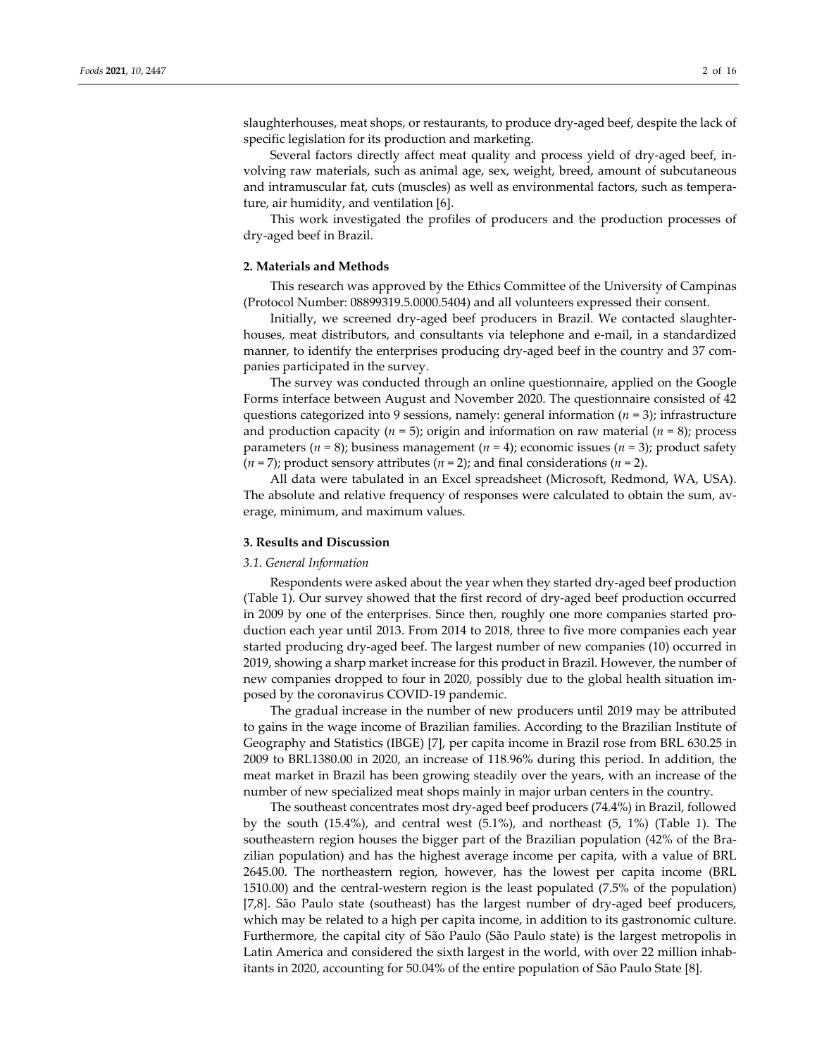slaughterhouses, meat shops, or restaurants, to produce dry-aged beef, despite the lack of specific legislation for its production and marketing.

Several factors directly affect meat quality and process yield of dry-aged beef, involving raw materials, such as animal age, sex, weight, breed, amount of subcutaneous and intramuscular fat, cuts (muscles) as well as environmental factors, such as tempera‐ ture, air humidity, and ventilation [6].

This work investigated the profiles of producers and the production processes of dry‐aged beef in Brazil.

#### **2. Materials and Methods**

This research was approved by the Ethics Committee of the University of Campinas (Protocol Number: 08899319.5.0000.5404) and all volunteers expressed their consent.

Initially, we screened dry‐aged beef producers in Brazil. We contacted slaughter‐ houses, meat distributors, and consultants via telephone and e‐mail, in a standardized manner, to identify the enterprises producing dry-aged beef in the country and 37 companies participated in the survey.

The survey was conducted through an online questionnaire, applied on the Google Forms interface between August and November 2020. The questionnaire consisted of 42 questions categorized into 9 sessions, namely: general information (*n* = 3); infrastructure and production capacity (*n* = 5); origin and information on raw material (*n* = 8); process parameters ( $n = 8$ ); business management ( $n = 4$ ); economic issues ( $n = 3$ ); product safety (*n* = 7); product sensory attributes (*n* = 2); and final considerations (*n* = 2).

All data were tabulated in an Excel spreadsheet (Microsoft, Redmond, WA, USA). The absolute and relative frequency of responses were calculated to obtain the sum, av‐ erage, minimum, and maximum values.

#### **3. Results and Discussion**

## *3.1. General Information*

Respondents were asked about the year when they started dry‐aged beef production (Table 1). Our survey showed that the first record of dry‐aged beef production occurred in 2009 by one of the enterprises. Since then, roughly one more companies started pro‐ duction each year until 2013. From 2014 to 2018, three to five more companies each year started producing dry‐aged beef. The largest number of new companies (10) occurred in 2019, showing a sharp market increase for this product in Brazil. However, the number of new companies dropped to four in 2020, possibly due to the global health situation im‐ posed by the coronavirus COVID‐19 pandemic.

The gradual increase in the number of new producers until 2019 may be attributed to gains in the wage income of Brazilian families. According to the Brazilian Institute of Geography and Statistics (IBGE) [7], per capita income in Brazil rose from BRL 630.25 in 2009 to BRL1380.00 in 2020, an increase of 118.96% during this period. In addition, the meat market in Brazil has been growing steadily over the years, with an increase of the number of new specialized meat shops mainly in major urban centers in the country.

The southeast concentrates most dry‐aged beef producers (74.4%) in Brazil, followed by the south (15.4%), and central west (5.1%), and northeast (5, 1%) (Table 1). The southeastern region houses the bigger part of the Brazilian population (42% of the Bra‐ zilian population) and has the highest average income per capita, with a value of BRL 2645.00. The northeastern region, however, has the lowest per capita income (BRL 1510.00) and the central‐western region is the least populated (7.5% of the population) [7,8]. São Paulo state (southeast) has the largest number of dry-aged beef producers, which may be related to a high per capita income, in addition to its gastronomic culture. Furthermore, the capital city of São Paulo (São Paulo state) is the largest metropolis in Latin America and considered the sixth largest in the world, with over 22 million inhab‐ itants in 2020, accounting for 50.04% of the entire population of São Paulo State [8].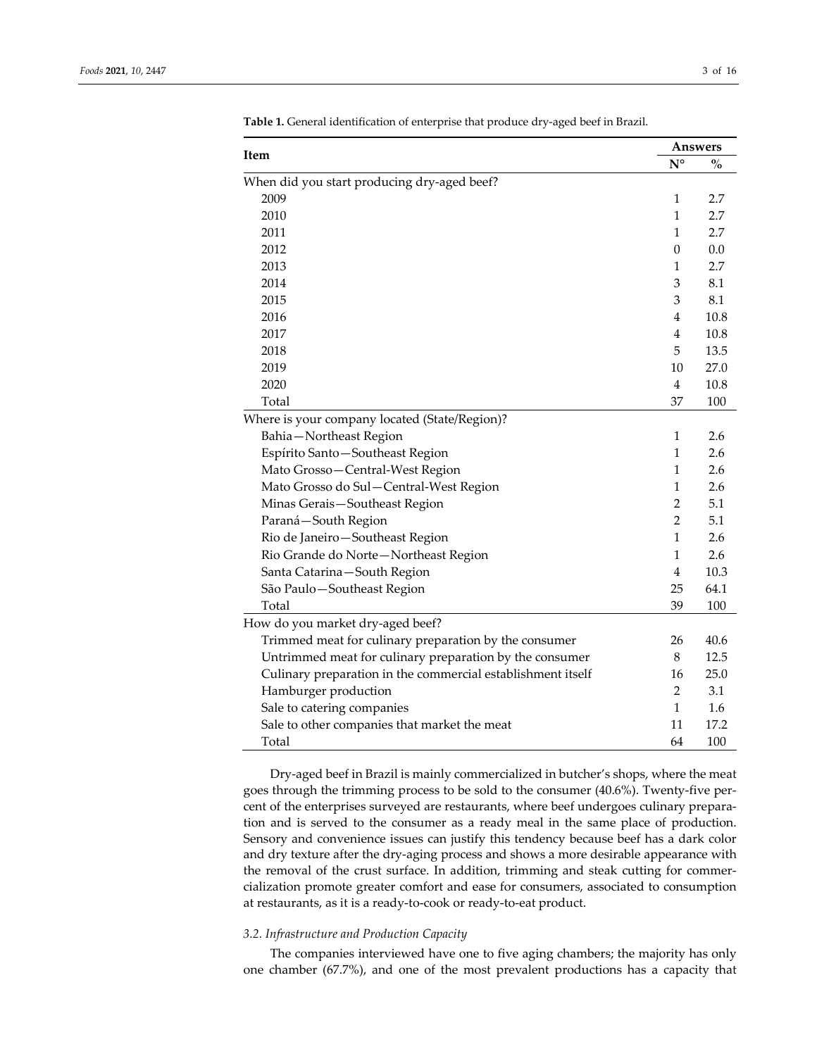|                                                             |                  | Answers                            |  |
|-------------------------------------------------------------|------------------|------------------------------------|--|
| Item                                                        | $N^{\circ}$      | $\mathbf{O}_{\mathbf{O}}^{\prime}$ |  |
| When did you start producing dry-aged beef?                 |                  |                                    |  |
| 2009                                                        | 1                | 2.7                                |  |
| 2010                                                        | 1                | 2.7                                |  |
| 2011                                                        | 1                | 2.7                                |  |
| 2012                                                        | $\boldsymbol{0}$ | 0.0                                |  |
| 2013                                                        | 1                | 2.7                                |  |
| 2014                                                        | 3                | 8.1                                |  |
| 2015                                                        | 3                | 8.1                                |  |
| 2016                                                        | 4                | 10.8                               |  |
| 2017                                                        | 4                | 10.8                               |  |
| 2018                                                        | 5                | 13.5                               |  |
| 2019                                                        | 10               | 27.0                               |  |
| 2020                                                        | $\overline{4}$   | 10.8                               |  |
| Total                                                       | 37               | 100                                |  |
| Where is your company located (State/Region)?               |                  |                                    |  |
| Bahia-Northeast Region                                      | 1                | 2.6                                |  |
| Espírito Santo-Southeast Region                             | 1                | 2.6                                |  |
| Mato Grosso-Central-West Region                             | $\mathbf{1}$     | 2.6                                |  |
| Mato Grosso do Sul-Central-West Region                      | 1                | 2.6                                |  |
| Minas Gerais-Southeast Region                               | $\overline{2}$   | 5.1                                |  |
| Paraná-South Region                                         | $\overline{2}$   | 5.1                                |  |
| Rio de Janeiro-Southeast Region                             | $\mathbf{1}$     | 2.6                                |  |
| Rio Grande do Norte-Northeast Region                        | 1                | 2.6                                |  |
| Santa Catarina-South Region                                 | 4                | 10.3                               |  |
| São Paulo-Southeast Region                                  | 25               | 64.1                               |  |
| Total                                                       | 39               | 100                                |  |
| How do you market dry-aged beef?                            |                  |                                    |  |
| Trimmed meat for culinary preparation by the consumer       | 26               | 40.6                               |  |
| Untrimmed meat for culinary preparation by the consumer     | 8                | 12.5                               |  |
| Culinary preparation in the commercial establishment itself | 16               | 25.0                               |  |
| Hamburger production                                        | $\overline{2}$   | 3.1                                |  |
| Sale to catering companies                                  | 1                | 1.6                                |  |
| Sale to other companies that market the meat                | 11               | 17.2                               |  |
| Total                                                       | 64               | 100                                |  |

**Table 1.** General identification of enterprise that produce dry‐aged beef in Brazil.

Dry‐aged beef in Brazil is mainly commercialized in butcher's shops, where the meat goes through the trimming process to be sold to the consumer (40.6%). Twenty‐five per‐ cent of the enterprises surveyed are restaurants, where beef undergoes culinary preparation and is served to the consumer as a ready meal in the same place of production. Sensory and convenience issues can justify this tendency because beef has a dark color and dry texture after the dry-aging process and shows a more desirable appearance with the removal of the crust surface. In addition, trimming and steak cutting for commercialization promote greater comfort and ease for consumers, associated to consumption at restaurants, as it is a ready‐to‐cook or ready‐to‐eat product.

# *3.2. Infrastructure and Production Capacity*

The companies interviewed have one to five aging chambers; the majority has only one chamber (67.7%), and one of the most prevalent productions has a capacity that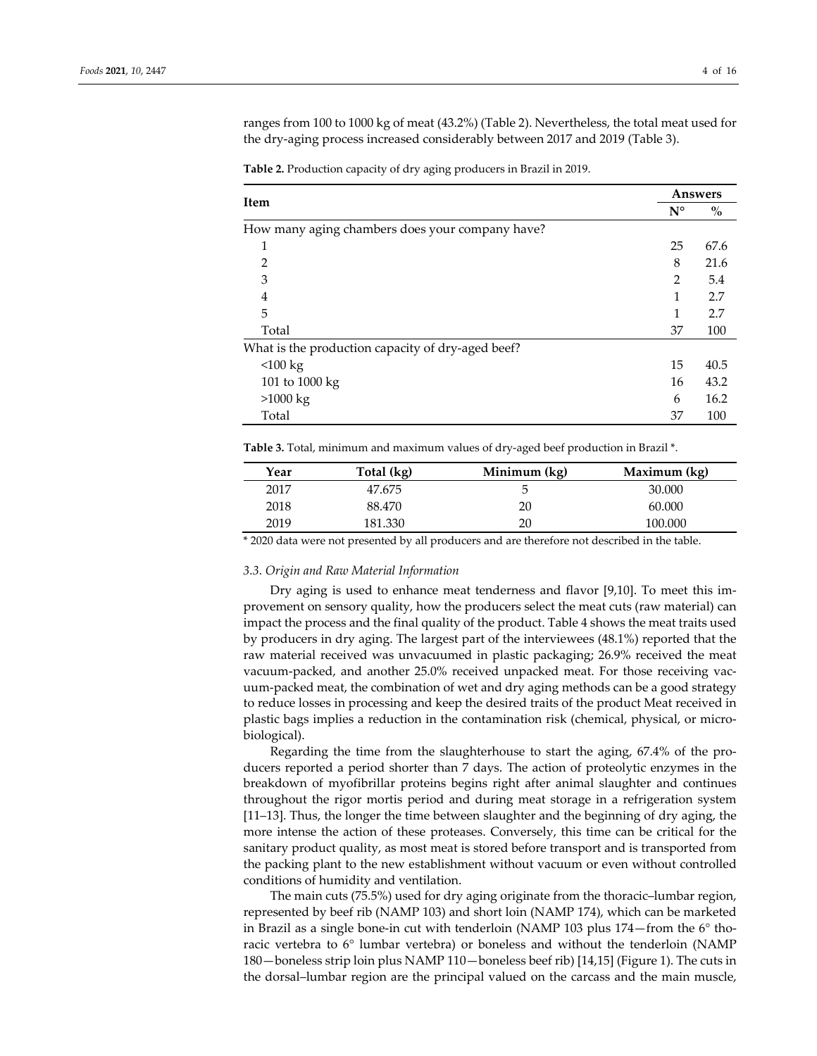ranges from 100 to 1000 kg of meat (43.2%) (Table 2). Nevertheless, the total meat used for the dry‐aging process increased considerably between 2017 and 2019 (Table 3).

|                                                   | Answers        |                                    |
|---------------------------------------------------|----------------|------------------------------------|
| Item                                              | $N^{\circ}$    | $\mathbf{0}_{\mathbf{0}}^{\prime}$ |
| How many aging chambers does your company have?   |                |                                    |
| 1                                                 | 25             | 67.6                               |
| $\overline{2}$                                    | 8              | 21.6                               |
| 3                                                 | $\overline{2}$ | 5.4                                |
| 4                                                 | 1              | 2.7                                |
| 5                                                 | 1              | 2.7                                |
| Total                                             | 37             | 100                                |
| What is the production capacity of dry-aged beef? |                |                                    |
| < 100 kg                                          | 15             | 40.5                               |
| 101 to $1000 \text{ kg}$                          | 16             | 43.2                               |
| >1000 kg                                          | 6              | 16.2                               |
| Total                                             | 37             | 100                                |

**Table 2.** Production capacity of dry aging producers in Brazil in 2019.

**Table 3.** Total, minimum and maximum values of dry‐aged beef production in Brazil \*.

| Year | Total (kg) | Minimum (kg) | Maximum (kg) |
|------|------------|--------------|--------------|
| 2017 | 47.675     |              | 30.000       |
| 2018 | 88.470     | 20           | 60.000       |
| 2019 | 181.330    | 20           | 100.000      |

\* 2020 data were not presented by all producers and are therefore not described in the table.

#### *3.3. Origin and Raw Material Information*

Dry aging is used to enhance meat tenderness and flavor [9,10]. To meet this im‐ provement on sensory quality, how the producers select the meat cuts (raw material) can impact the process and the final quality of the product. Table 4 shows the meat traits used by producers in dry aging. The largest part of the interviewees (48.1%) reported that the raw material received was unvacuumed in plastic packaging; 26.9% received the meat vacuum‐packed, and another 25.0% received unpacked meat. For those receiving vac‐ uum‐packed meat, the combination of wet and dry aging methods can be a good strategy to reduce losses in processing and keep the desired traits of the product Meat received in plastic bags implies a reduction in the contamination risk (chemical, physical, or micro‐ biological).

Regarding the time from the slaughterhouse to start the aging, 67.4% of the pro‐ ducers reported a period shorter than 7 days. The action of proteolytic enzymes in the breakdown of myofibrillar proteins begins right after animal slaughter and continues throughout the rigor mortis period and during meat storage in a refrigeration system [11–13]. Thus, the longer the time between slaughter and the beginning of dry aging, the more intense the action of these proteases. Conversely, this time can be critical for the sanitary product quality, as most meat is stored before transport and is transported from the packing plant to the new establishment without vacuum or even without controlled conditions of humidity and ventilation.

The main cuts (75.5%) used for dry aging originate from the thoracic–lumbar region, represented by beef rib (NAMP 103) and short loin (NAMP 174), which can be marketed in Brazil as a single bone-in cut with tenderloin (NAMP 103 plus  $174$  –from the 6 $\degree$  thoracic vertebra to 6° lumbar vertebra) or boneless and without the tenderloin (NAMP 180—boneless strip loin plus NAMP 110—boneless beef rib) [14,15] (Figure 1). The cuts in the dorsal–lumbar region are the principal valued on the carcass and the main muscle,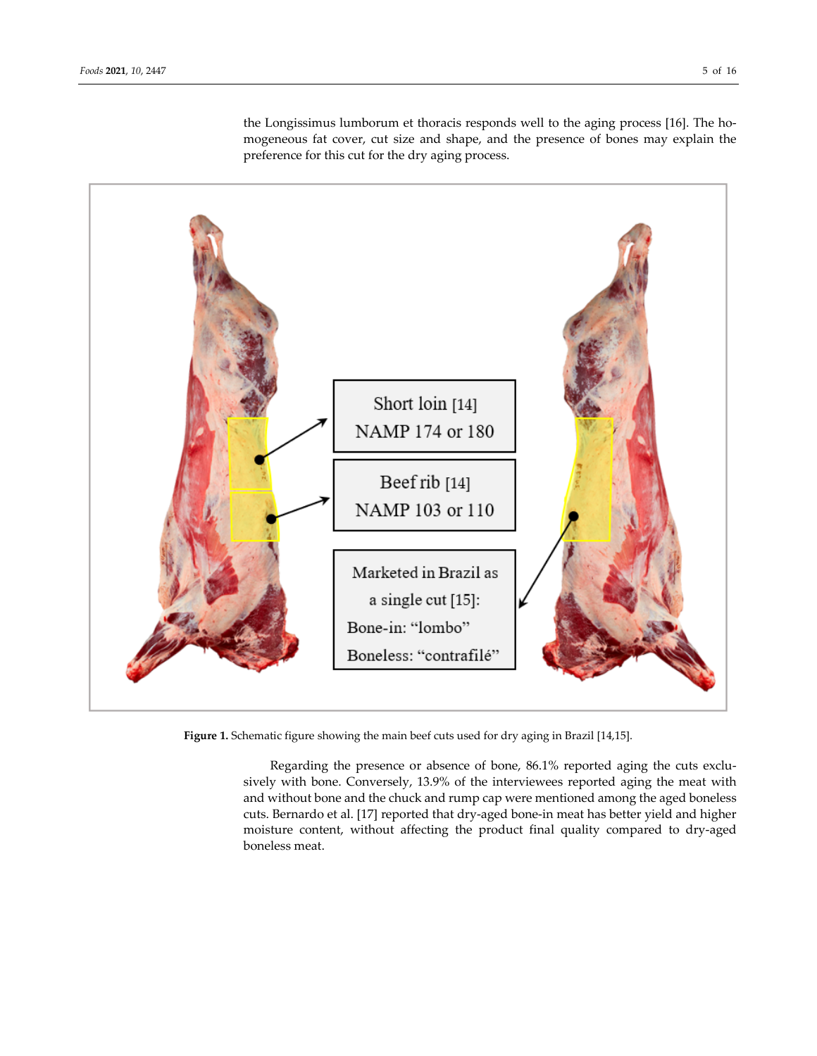Short loin [14] NAMP 174 or 180 Beef rib [14] NAMP 103 or 110 Marketed in Brazil as a single cut [15]: Bone-in: "lombo" Boneless: "contrafilé"

the Longissimus lumborum et thoracis responds well to the aging process [16]. The homogeneous fat cover, cut size and shape, and the presence of bones may explain the preference for this cut for the dry aging process.

**Figure 1.** Schematic figure showing the main beef cuts used for dry aging in Brazil [14,15].

Regarding the presence or absence of bone, 86.1% reported aging the cuts exclusively with bone. Conversely, 13.9% of the interviewees reported aging the meat with and without bone and the chuck and rump cap were mentioned among the aged boneless cuts. Bernardo et al. [17] reported that dry‐aged bone‐in meat has better yield and higher moisture content, without affecting the product final quality compared to dry‐aged boneless meat.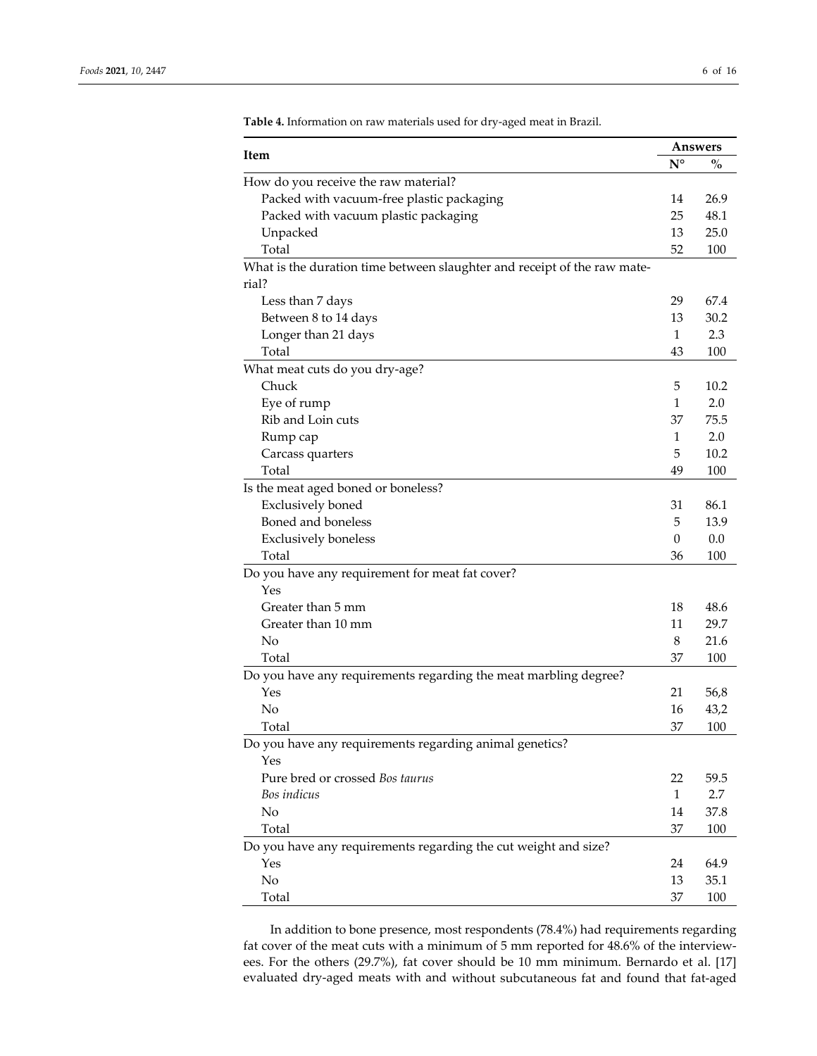|                                                                          |              | <b>Answers</b> |
|--------------------------------------------------------------------------|--------------|----------------|
| Item                                                                     | $N^{\circ}$  | $\%$           |
| How do you receive the raw material?                                     |              |                |
| Packed with vacuum-free plastic packaging                                | 14           | 26.9           |
| Packed with vacuum plastic packaging                                     | 25           | 48.1           |
| Unpacked                                                                 | 13           | 25.0           |
| Total                                                                    | 52           | 100            |
| What is the duration time between slaughter and receipt of the raw mate- |              |                |
| rial?                                                                    |              |                |
| Less than 7 days                                                         | 29           | 67.4           |
| Between 8 to 14 days                                                     | 13           | 30.2           |
| Longer than 21 days                                                      | 1            | 2.3            |
| Total                                                                    | 43           | 100            |
| What meat cuts do you dry-age?                                           |              |                |
| Chuck                                                                    | 5            | 10.2           |
| Eye of rump                                                              | 1            | 2.0            |
| Rib and Loin cuts                                                        | 37           | 75.5           |
| Rump cap                                                                 | 1            | 2.0            |
| Carcass quarters                                                         | 5            | 10.2           |
| Total                                                                    | 49           | 100            |
| Is the meat aged boned or boneless?                                      |              |                |
| <b>Exclusively</b> boned                                                 | 31           | 86.1           |
| Boned and boneless                                                       | 5            | 13.9           |
| <b>Exclusively boneless</b>                                              | $\mathbf{0}$ | 0.0            |
| Total                                                                    | 36           | 100            |
| Do you have any requirement for meat fat cover?                          |              |                |
| Yes                                                                      |              |                |
| Greater than 5 mm                                                        | 18           | 48.6           |
| Greater than 10 mm                                                       | 11           | 29.7           |
| No                                                                       | 8            | 21.6           |
| Total                                                                    | 37           | 100            |
| Do you have any requirements regarding the meat marbling degree?         |              |                |
| Yes                                                                      | 21           | 56,8           |
| No                                                                       | 16           | 43,2           |
| Total                                                                    | 37           | 100            |
| Do you have any requirements regarding animal genetics?                  |              |                |
| Yes                                                                      |              |                |
| Pure bred or crossed Bos taurus                                          | 22           | 59.5           |
| Bos indicus                                                              | $\mathbf{1}$ | 2.7            |
| No                                                                       | 14           | 37.8           |
| Total                                                                    | 37           | 100            |
| Do you have any requirements regarding the cut weight and size?          |              |                |
| Yes                                                                      | 24           | 64.9           |
| No                                                                       | 13           | 35.1           |
| Total                                                                    | 37           | 100            |

**Table 4.** Information on raw materials used for dry‐aged meat in Brazil.

In addition to bone presence, most respondents (78.4%) had requirements regarding fat cover of the meat cuts with a minimum of 5 mm reported for 48.6% of the interviewees. For the others (29.7%), fat cover should be 10 mm minimum. Bernardo et al. [17] evaluated dry‐aged meats with and without subcutaneous fat and found that fat‐aged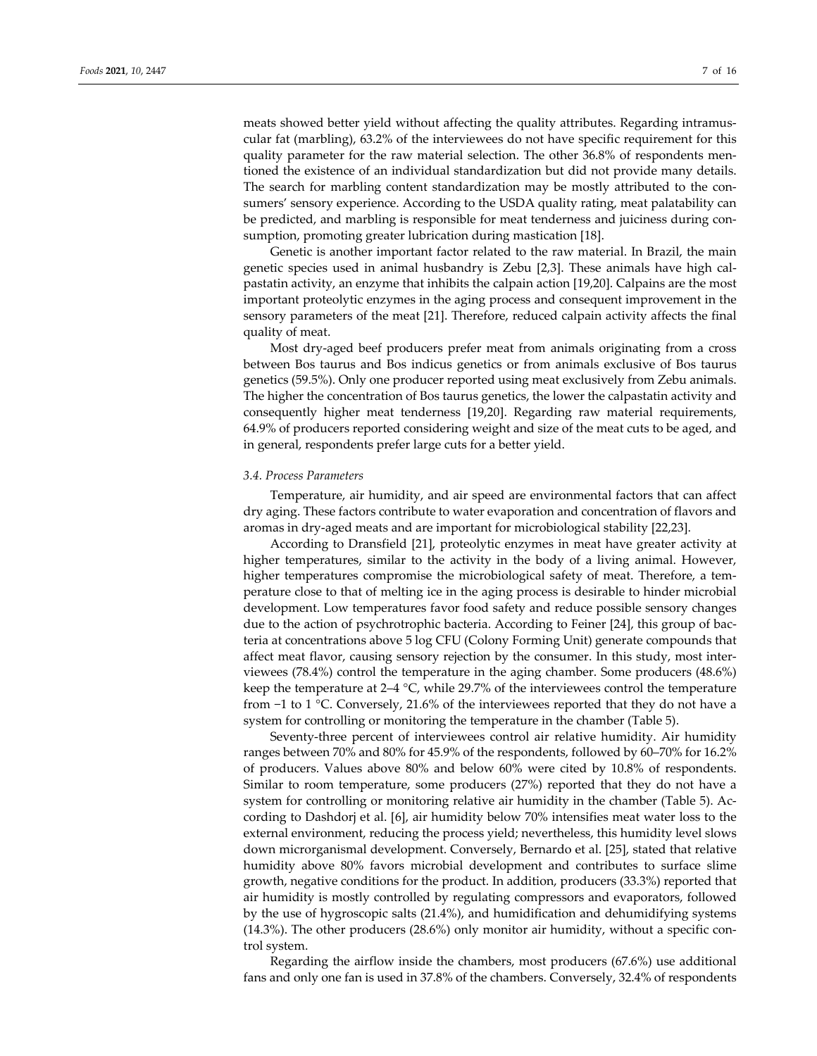meats showed better yield without affecting the quality attributes. Regarding intramuscular fat (marbling), 63.2% of the interviewees do not have specific requirement for this quality parameter for the raw material selection. The other 36.8% of respondents mentioned the existence of an individual standardization but did not provide many details. The search for marbling content standardization may be mostly attributed to the consumers' sensory experience. According to the USDA quality rating, meat palatability can be predicted, and marbling is responsible for meat tenderness and juiciness during consumption, promoting greater lubrication during mastication [18].

Genetic is another important factor related to the raw material. In Brazil, the main genetic species used in animal husbandry is Zebu [2,3]. These animals have high cal‐ pastatin activity, an enzyme that inhibits the calpain action [19,20]. Calpains are the most important proteolytic enzymes in the aging process and consequent improvement in the sensory parameters of the meat [21]. Therefore, reduced calpain activity affects the final quality of meat.

Most dry‐aged beef producers prefer meat from animals originating from a cross between Bos taurus and Bos indicus genetics or from animals exclusive of Bos taurus genetics (59.5%). Only one producer reported using meat exclusively from Zebu animals. The higher the concentration of Bos taurus genetics, the lower the calpastatin activity and consequently higher meat tenderness [19,20]. Regarding raw material requirements, 64.9% of producers reported considering weight and size of the meat cuts to be aged, and in general, respondents prefer large cuts for a better yield.

#### *3.4. Process Parameters*

Temperature, air humidity, and air speed are environmental factors that can affect dry aging. These factors contribute to water evaporation and concentration of flavors and aromas in dry‐aged meats and are important for microbiological stability [22,23].

According to Dransfield [21], proteolytic enzymes in meat have greater activity at higher temperatures, similar to the activity in the body of a living animal. However, higher temperatures compromise the microbiological safety of meat. Therefore, a temperature close to that of melting ice in the aging process is desirable to hinder microbial development. Low temperatures favor food safety and reduce possible sensory changes due to the action of psychrotrophic bacteria. According to Feiner [24], this group of bac‐ teria at concentrations above 5 log CFU (Colony Forming Unit) generate compounds that affect meat flavor, causing sensory rejection by the consumer. In this study, most inter‐ viewees (78.4%) control the temperature in the aging chamber. Some producers (48.6%) keep the temperature at 2–4 °C, while 29.7% of the interviewees control the temperature from −1 to 1 °C. Conversely, 21.6% of the interviewees reported that they do not have a system for controlling or monitoring the temperature in the chamber (Table 5).

Seventy-three percent of interviewees control air relative humidity. Air humidity ranges between 70% and 80% for 45.9% of the respondents, followed by 60–70% for 16.2% of producers. Values above 80% and below 60% were cited by 10.8% of respondents. Similar to room temperature, some producers (27%) reported that they do not have a system for controlling or monitoring relative air humidity in the chamber (Table 5). Ac‐ cording to Dashdorj et al. [6], air humidity below 70% intensifies meat water loss to the external environment, reducing the process yield; nevertheless, this humidity level slows down microrganismal development. Conversely, Bernardo et al. [25], stated that relative humidity above 80% favors microbial development and contributes to surface slime growth, negative conditions for the product. In addition, producers (33.3%) reported that air humidity is mostly controlled by regulating compressors and evaporators, followed by the use of hygroscopic salts (21.4%), and humidification and dehumidifying systems (14.3%). The other producers (28.6%) only monitor air humidity, without a specific con‐ trol system.

Regarding the airflow inside the chambers, most producers (67.6%) use additional fans and only one fan is used in 37.8% of the chambers. Conversely, 32.4% of respondents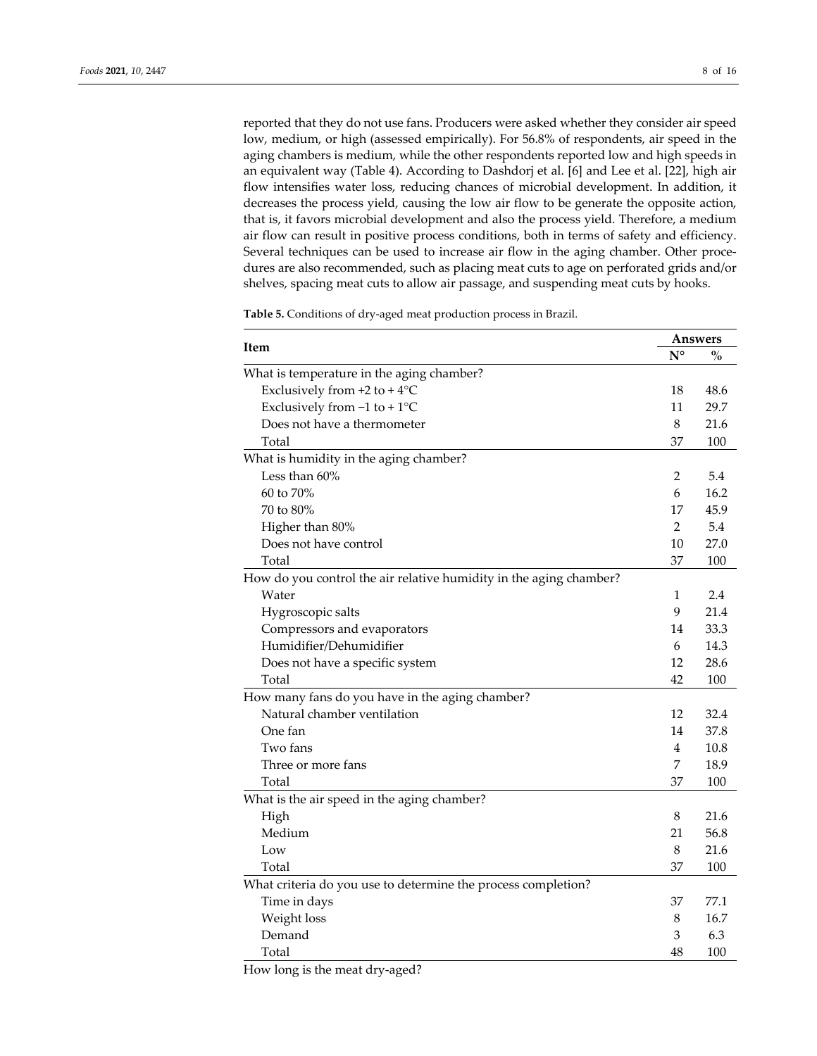reported that they do not use fans. Producers were asked whether they consider air speed low, medium, or high (assessed empirically). For 56.8% of respondents, air speed in the aging chambers is medium, while the other respondents reported low and high speeds in an equivalent way (Table 4). According to Dashdorj et al. [6] and Lee et al. [22], high air flow intensifies water loss, reducing chances of microbial development. In addition, it decreases the process yield, causing the low air flow to be generate the opposite action, that is, it favors microbial development and also the process yield. Therefore, a medium air flow can result in positive process conditions, both in terms of safety and efficiency. Several techniques can be used to increase air flow in the aging chamber. Other procedures are also recommended, such as placing meat cuts to age on perforated grids and/or shelves, spacing meat cuts to allow air passage, and suspending meat cuts by hooks.

|                                                                    |                | Answers |
|--------------------------------------------------------------------|----------------|---------|
| Item                                                               | $N^{\circ}$    | $\%$    |
| What is temperature in the aging chamber?                          |                |         |
| Exclusively from $+2$ to $+4$ °C                                   | 18             | 48.6    |
| Exclusively from $-1$ to $+1$ <sup>o</sup> C                       | 11             | 29.7    |
| Does not have a thermometer                                        | 8              | 21.6    |
| Total                                                              | 37             | 100     |
| What is humidity in the aging chamber?                             |                |         |
| Less than 60%                                                      | 2              | 5.4     |
| 60 to 70%                                                          | 6              | 16.2    |
| 70 to 80%                                                          | 17             | 45.9    |
| Higher than 80%                                                    | $\overline{2}$ | 5.4     |
| Does not have control                                              | 10             | 27.0    |
| Total                                                              | 37             | 100     |
| How do you control the air relative humidity in the aging chamber? |                |         |
| Water                                                              | 1              | 2.4     |
| Hygroscopic salts                                                  | 9              | 21.4    |
| Compressors and evaporators                                        | 14             | 33.3    |
| Humidifier/Dehumidifier                                            | 6              | 14.3    |
| Does not have a specific system                                    | 12             | 28.6    |
| Total                                                              | 42             | 100     |
| How many fans do you have in the aging chamber?                    |                |         |
| Natural chamber ventilation                                        | 12             | 32.4    |
| One fan                                                            | 14             | 37.8    |
| Two fans                                                           | 4              | 10.8    |
| Three or more fans                                                 | 7              | 18.9    |
| Total                                                              | 37             | 100     |
| What is the air speed in the aging chamber?                        |                |         |
| High                                                               | 8              | 21.6    |
| Medium                                                             | 21             | 56.8    |
| Low                                                                | 8              | 21.6    |
| Total                                                              | 37             | 100     |
| What criteria do you use to determine the process completion?      |                |         |
| Time in days                                                       | 37             | 77.1    |
| Weight loss                                                        | 8              | 16.7    |
| Demand                                                             | 3              | 6.3     |
| Total                                                              | 48             | 100     |

**Table 5.** Conditions of dry‐aged meat production process in Brazil.

How long is the meat dry‐aged?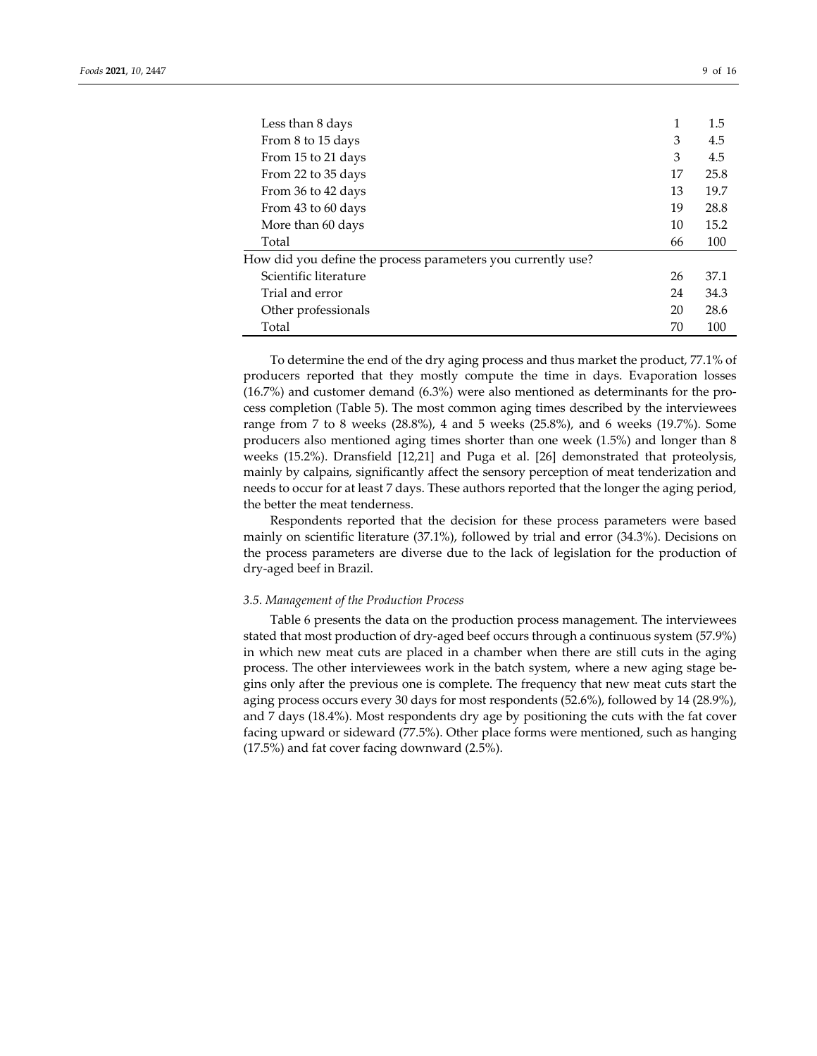| Less than 8 days                                             |    | 1.5  |
|--------------------------------------------------------------|----|------|
| From 8 to 15 days                                            | 3  | 4.5  |
| From 15 to 21 days                                           | 3  | 4.5  |
| From 22 to 35 days                                           | 17 | 25.8 |
| From 36 to 42 days                                           | 13 | 19.7 |
| From 43 to 60 days                                           | 19 | 28.8 |
| More than 60 days                                            | 10 | 15.2 |
| Total                                                        | 66 | 100  |
| How did you define the process parameters you currently use? |    |      |
| Scientific literature                                        | 26 | 37.1 |
| Trial and error                                              | 24 | 34.3 |
| Other professionals                                          | 20 | 28.6 |
| Total                                                        | 70 | 100  |

To determine the end of the dry aging process and thus market the product, 77.1% of producers reported that they mostly compute the time in days. Evaporation losses  $(16.7%)$  and customer demand  $(6.3%)$  were also mentioned as determinants for the process completion (Table 5). The most common aging times described by the interviewees range from 7 to 8 weeks (28.8%), 4 and 5 weeks (25.8%), and 6 weeks (19.7%). Some producers also mentioned aging times shorter than one week (1.5%) and longer than 8 weeks (15.2%). Dransfield [12,21] and Puga et al. [26] demonstrated that proteolysis, mainly by calpains, significantly affect the sensory perception of meat tenderization and needs to occur for at least 7 days. These authors reported that the longer the aging period, the better the meat tenderness.

Respondents reported that the decision for these process parameters were based mainly on scientific literature (37.1%), followed by trial and error (34.3%). Decisions on the process parameters are diverse due to the lack of legislation for the production of dry‐aged beef in Brazil.

#### *3.5. Management of the Production Process*

Table 6 presents the data on the production process management. The interviewees stated that most production of dry-aged beef occurs through a continuous system (57.9%) in which new meat cuts are placed in a chamber when there are still cuts in the aging process. The other interviewees work in the batch system, where a new aging stage be‐ gins only after the previous one is complete. The frequency that new meat cuts start the aging process occurs every 30 days for most respondents (52.6%), followed by 14 (28.9%), and 7 days (18.4%). Most respondents dry age by positioning the cuts with the fat cover facing upward or sideward (77.5%). Other place forms were mentioned, such as hanging (17.5%) and fat cover facing downward (2.5%).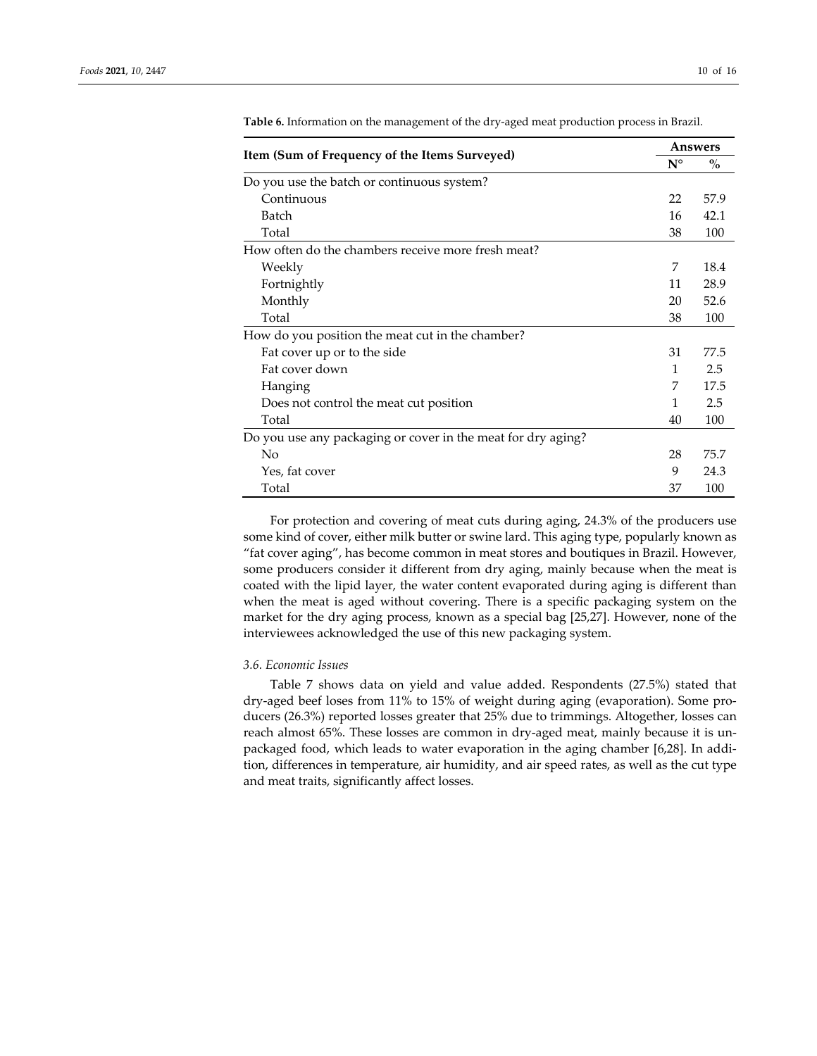|                                                              |             | Answers |  |
|--------------------------------------------------------------|-------------|---------|--|
| Item (Sum of Frequency of the Items Surveyed)                | $N^{\circ}$ | $\%$    |  |
| Do you use the batch or continuous system?                   |             |         |  |
| Continuous                                                   | 22          | 57.9    |  |
| Batch                                                        | 16          | 42.1    |  |
| Total                                                        | 38          | 100     |  |
| How often do the chambers receive more fresh meat?           |             |         |  |
| Weekly                                                       | 7           | 18.4    |  |
| Fortnightly                                                  | 11          | 28.9    |  |
| Monthly                                                      | 20          | 52.6    |  |
| Total                                                        | 38          | 100     |  |
| How do you position the meat cut in the chamber?             |             |         |  |
| Fat cover up or to the side                                  | 31          | 77.5    |  |
| Fat cover down                                               | 1           | 2.5     |  |
| Hanging                                                      | 7           | 17.5    |  |
| Does not control the meat cut position                       | 1           | 2.5     |  |
| Total                                                        | 40          | 100     |  |
| Do you use any packaging or cover in the meat for dry aging? |             |         |  |
| No                                                           | 28          | 75.7    |  |
| Yes, fat cover                                               | 9           | 24.3    |  |
| Total                                                        | 37          | 100     |  |

**Table 6.** Information on the management of the dry‐aged meat production process in Brazil.

For protection and covering of meat cuts during aging, 24.3% of the producers use some kind of cover, either milk butter or swine lard. This aging type, popularly known as "fat cover aging", has become common in meat stores and boutiques in Brazil. However, some producers consider it different from dry aging, mainly because when the meat is coated with the lipid layer, the water content evaporated during aging is different than when the meat is aged without covering. There is a specific packaging system on the market for the dry aging process, known as a special bag [25,27]. However, none of the interviewees acknowledged the use of this new packaging system.

#### *3.6. Economic Issues*

Table 7 shows data on yield and value added. Respondents (27.5%) stated that dry‐aged beef loses from 11% to 15% of weight during aging (evaporation). Some pro‐ ducers (26.3%) reported losses greater that 25% due to trimmings. Altogether, losses can reach almost 65%. These losses are common in dry-aged meat, mainly because it is unpackaged food, which leads to water evaporation in the aging chamber [6,28]. In addi‐ tion, differences in temperature, air humidity, and air speed rates, as well as the cut type and meat traits, significantly affect losses.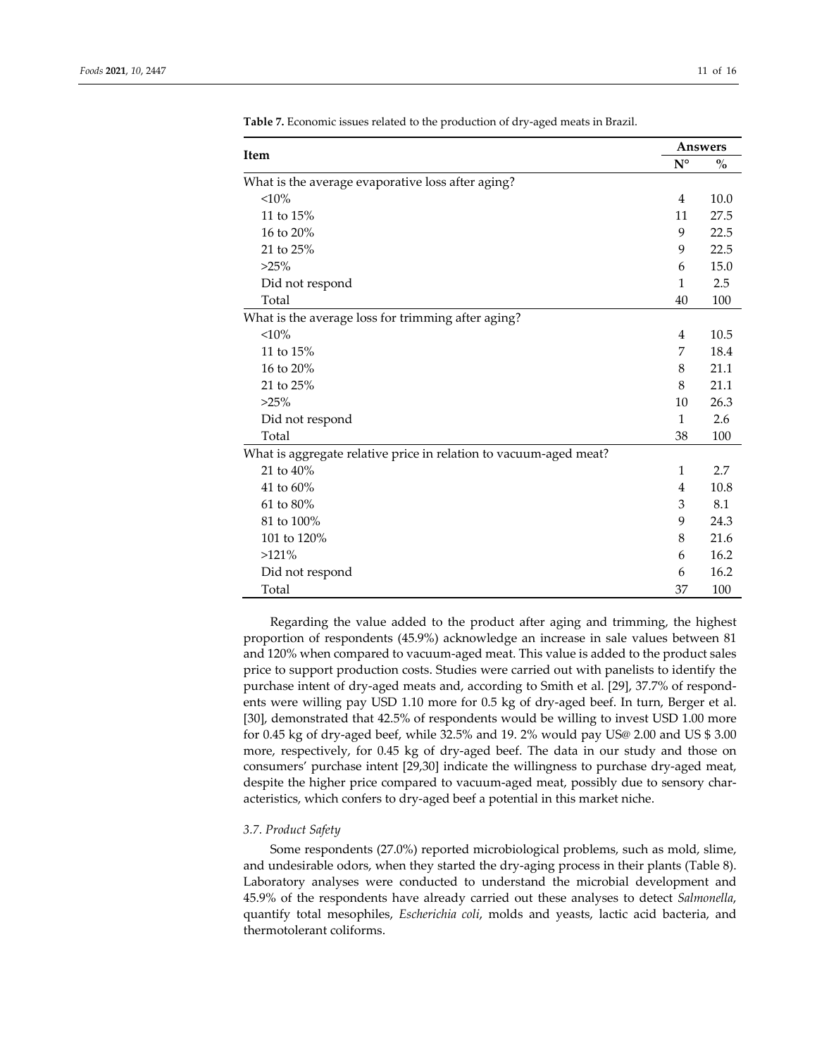|                                                                   | <b>Answers</b> |      |
|-------------------------------------------------------------------|----------------|------|
| Item                                                              | $N^{\circ}$    | $\%$ |
| What is the average evaporative loss after aging?                 |                |      |
| $< 10\%$                                                          | 4              | 10.0 |
| 11 to 15%                                                         | 11             | 27.5 |
| 16 to 20%                                                         | 9              | 22.5 |
| 21 to 25%                                                         | 9              | 22.5 |
| $>25\%$                                                           | 6              | 15.0 |
| Did not respond                                                   | 1              | 2.5  |
| Total                                                             | 40             | 100  |
| What is the average loss for trimming after aging?                |                |      |
| <10%                                                              | 4              | 10.5 |
| 11 to 15%                                                         | 7              | 18.4 |
| 16 to 20%                                                         | 8              | 21.1 |
| 21 to 25%                                                         | 8              | 21.1 |
| $>25\%$                                                           | 10             | 26.3 |
| Did not respond                                                   | $\mathbf{1}$   | 2.6  |
| Total                                                             | 38             | 100  |
| What is aggregate relative price in relation to vacuum-aged meat? |                |      |
| 21 to 40%                                                         | 1              | 2.7  |
| 41 to 60%                                                         | 4              | 10.8 |
| 61 to 80%                                                         | 3              | 8.1  |
| 81 to 100%                                                        | 9              | 24.3 |
| 101 to 120%                                                       | 8              | 21.6 |
| $>121\%$                                                          | 6              | 16.2 |
| Did not respond                                                   | 6              | 16.2 |
| Total                                                             | 37             | 100  |

**Table 7.** Economic issues related to the production of dry‐aged meats in Brazil.

Regarding the value added to the product after aging and trimming, the highest proportion of respondents (45.9%) acknowledge an increase in sale values between 81 and 120% when compared to vacuum‐aged meat. This value is added to the product sales price to support production costs. Studies were carried out with panelists to identify the purchase intent of dry-aged meats and, according to Smith et al. [29], 37.7% of respondents were willing pay USD 1.10 more for 0.5 kg of dry-aged beef. In turn, Berger et al. [30], demonstrated that 42.5% of respondents would be willing to invest USD 1.00 more for 0.45 kg of dry‐aged beef, while 32.5% and 19. 2% would pay US@ 2.00 and US \$ 3.00 more, respectively, for 0.45 kg of dry‐aged beef. The data in our study and those on consumers' purchase intent [29,30] indicate the willingness to purchase dry‐aged meat, despite the higher price compared to vacuum-aged meat, possibly due to sensory characteristics, which confers to dry‐aged beef a potential in this market niche.

#### *3.7. Product Safety*

Some respondents (27.0%) reported microbiological problems, such as mold, slime, and undesirable odors, when they started the dry-aging process in their plants (Table 8). Laboratory analyses were conducted to understand the microbial development and 45.9% of the respondents have already carried out these analyses to detect *Salmonella*, quantify total mesophiles, *Escherichia coli*, molds and yeasts, lactic acid bacteria, and thermotolerant coliforms.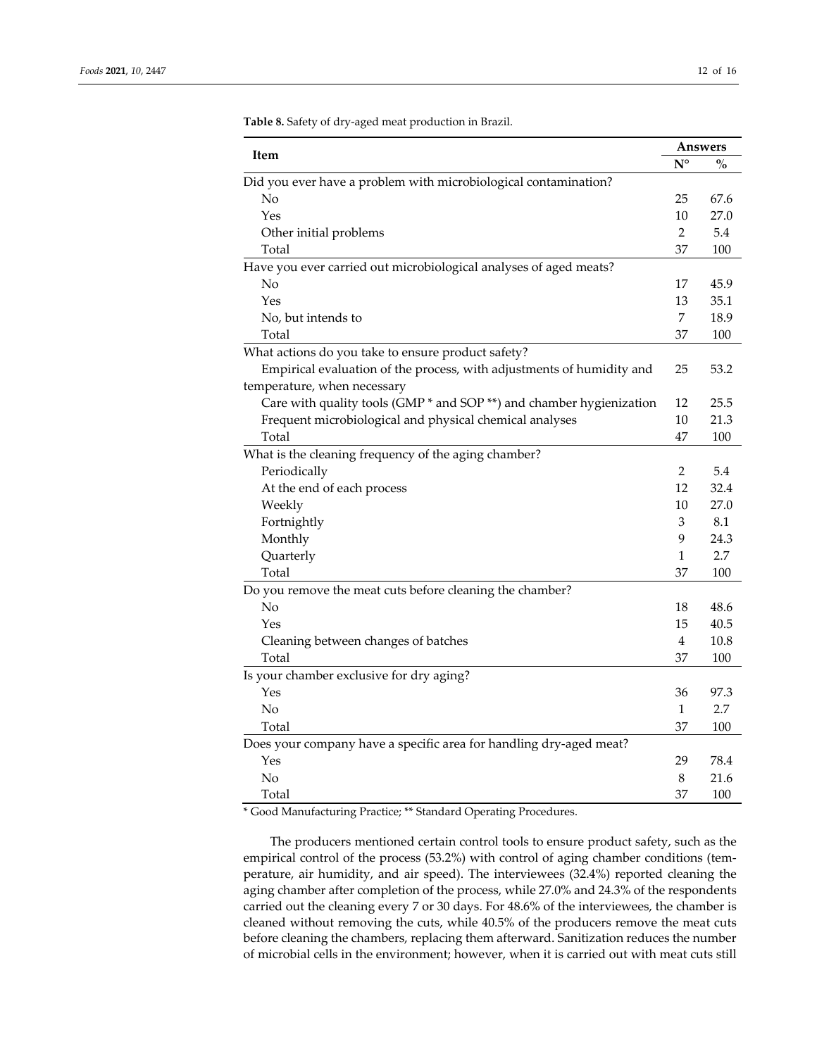| Item                                                                  | Answers        |               |
|-----------------------------------------------------------------------|----------------|---------------|
|                                                                       | $N^{\circ}$    | $\frac{0}{0}$ |
| Did you ever have a problem with microbiological contamination?       |                |               |
| No                                                                    | 25             | 67.6          |
| Yes                                                                   | 10             | 27.0          |
| Other initial problems                                                | $\overline{2}$ | 5.4           |
| Total                                                                 | 37             | 100           |
| Have you ever carried out microbiological analyses of aged meats?     |                |               |
| No                                                                    | 17             | 45.9          |
| Yes                                                                   | 13             | 35.1          |
| No, but intends to                                                    | 7              | 18.9          |
| Total                                                                 | 37             | 100           |
| What actions do you take to ensure product safety?                    |                |               |
| Empirical evaluation of the process, with adjustments of humidity and | 25             | 53.2          |
| temperature, when necessary                                           |                |               |
| Care with quality tools (GMP * and SOP **) and chamber hygienization  | 12             | 25.5          |
| Frequent microbiological and physical chemical analyses               | 10             | 21.3          |
| Total                                                                 | 47             | 100           |
| What is the cleaning frequency of the aging chamber?                  |                |               |
| Periodically                                                          | $\overline{2}$ | 5.4           |
| At the end of each process                                            | 12             | 32.4          |
| Weekly                                                                | 10             | 27.0          |
| Fortnightly                                                           | 3              | 8.1           |
| Monthly                                                               | 9              | 24.3          |
| Quarterly                                                             | $\mathbf{1}$   | 2.7           |
| Total                                                                 | 37             | 100           |
| Do you remove the meat cuts before cleaning the chamber?              |                |               |
| No                                                                    | 18             | 48.6          |
| Yes                                                                   | 15             | 40.5          |
| Cleaning between changes of batches                                   | 4              | 10.8          |
| Total                                                                 | 37             | 100           |
| Is your chamber exclusive for dry aging?                              |                |               |
| Yes                                                                   | 36             | 97.3          |
| No                                                                    | $\mathbf{1}$   | 2.7           |
| Total                                                                 | 37             | 100           |
| Does your company have a specific area for handling dry-aged meat?    |                |               |
| Yes                                                                   | 29             | 78.4          |
| No                                                                    | 8              | 21.6          |
| Total                                                                 | 37             | 100           |

**Table 8.** Safety of dry‐aged meat production in Brazil.

\* Good Manufacturing Practice; \*\* Standard Operating Procedures.

The producers mentioned certain control tools to ensure product safety, such as the empirical control of the process (53.2%) with control of aging chamber conditions (temperature, air humidity, and air speed). The interviewees (32.4%) reported cleaning the aging chamber after completion of the process, while 27.0% and 24.3% of the respondents carried out the cleaning every 7 or 30 days. For 48.6% of the interviewees, the chamber is cleaned without removing the cuts, while 40.5% of the producers remove the meat cuts before cleaning the chambers, replacing them afterward. Sanitization reduces the number of microbial cells in the environment; however, when it is carried out with meat cuts still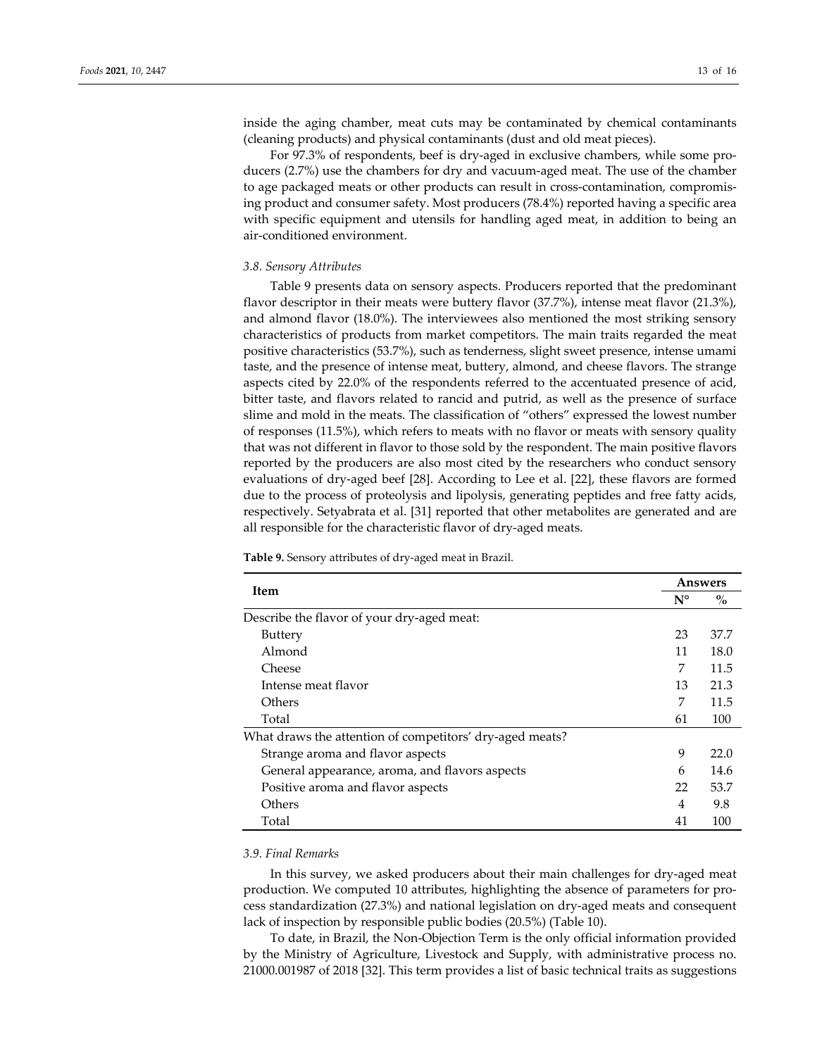inside the aging chamber, meat cuts may be contaminated by chemical contaminants (cleaning products) and physical contaminants (dust and old meat pieces).

For 97.3% of respondents, beef is dry-aged in exclusive chambers, while some producers (2.7%) use the chambers for dry and vacuum‐aged meat. The use of the chamber to age packaged meats or other products can result in cross-contamination, compromising product and consumer safety. Most producers (78.4%) reported having a specific area with specific equipment and utensils for handling aged meat, in addition to being an air‐conditioned environment.

#### *3.8. Sensory Attributes*

Table 9 presents data on sensory aspects. Producers reported that the predominant flavor descriptor in their meats were buttery flavor (37.7%), intense meat flavor (21.3%), and almond flavor (18.0%). The interviewees also mentioned the most striking sensory characteristics of products from market competitors. The main traits regarded the meat positive characteristics (53.7%), such as tenderness, slight sweet presence, intense umami taste, and the presence of intense meat, buttery, almond, and cheese flavors. The strange aspects cited by 22.0% of the respondents referred to the accentuated presence of acid, bitter taste, and flavors related to rancid and putrid, as well as the presence of surface slime and mold in the meats. The classification of "others" expressed the lowest number of responses (11.5%), which refers to meats with no flavor or meats with sensory quality that was not different in flavor to those sold by the respondent. The main positive flavors reported by the producers are also most cited by the researchers who conduct sensory evaluations of dry‐aged beef [28]. According to Lee et al. [22], these flavors are formed due to the process of proteolysis and lipolysis, generating peptides and free fatty acids, respectively. Setyabrata et al. [31] reported that other metabolites are generated and are all responsible for the characteristic flavor of dry‐aged meats.

| Item                                                     |             | Answers |  |
|----------------------------------------------------------|-------------|---------|--|
|                                                          | $N^{\circ}$ | $\%$    |  |
| Describe the flavor of your dry-aged meat:               |             |         |  |
| <b>Buttery</b>                                           | 23          | 37.7    |  |
| Almond                                                   | 11          | 18.0    |  |
| Cheese                                                   | 7           | 11.5    |  |
| Intense meat flavor                                      | 13          | 21.3    |  |
| Others                                                   | 7           | 11.5    |  |
| Total                                                    | 61          | 100     |  |
| What draws the attention of competitors' dry-aged meats? |             |         |  |
| Strange aroma and flavor aspects                         | 9           | 22.0    |  |
| General appearance, aroma, and flavors aspects           | 6           | 14.6    |  |
| Positive aroma and flavor aspects                        | 22          | 53.7    |  |
| Others                                                   | 4           | 9.8     |  |
| Total                                                    | 41          | 100     |  |

**Table 9.** Sensory attributes of dry‐aged meat in Brazil.

#### *3.9. Final Remarks*

In this survey, we asked producers about their main challenges for dry‐aged meat production. We computed 10 attributes, highlighting the absence of parameters for pro‐ cess standardization (27.3%) and national legislation on dry‐aged meats and consequent lack of inspection by responsible public bodies (20.5%) (Table 10).

To date, in Brazil, the Non‐Objection Term is the only official information provided by the Ministry of Agriculture, Livestock and Supply, with administrative process no. 21000.001987 of 2018 [32]. This term provides a list of basic technical traits as suggestions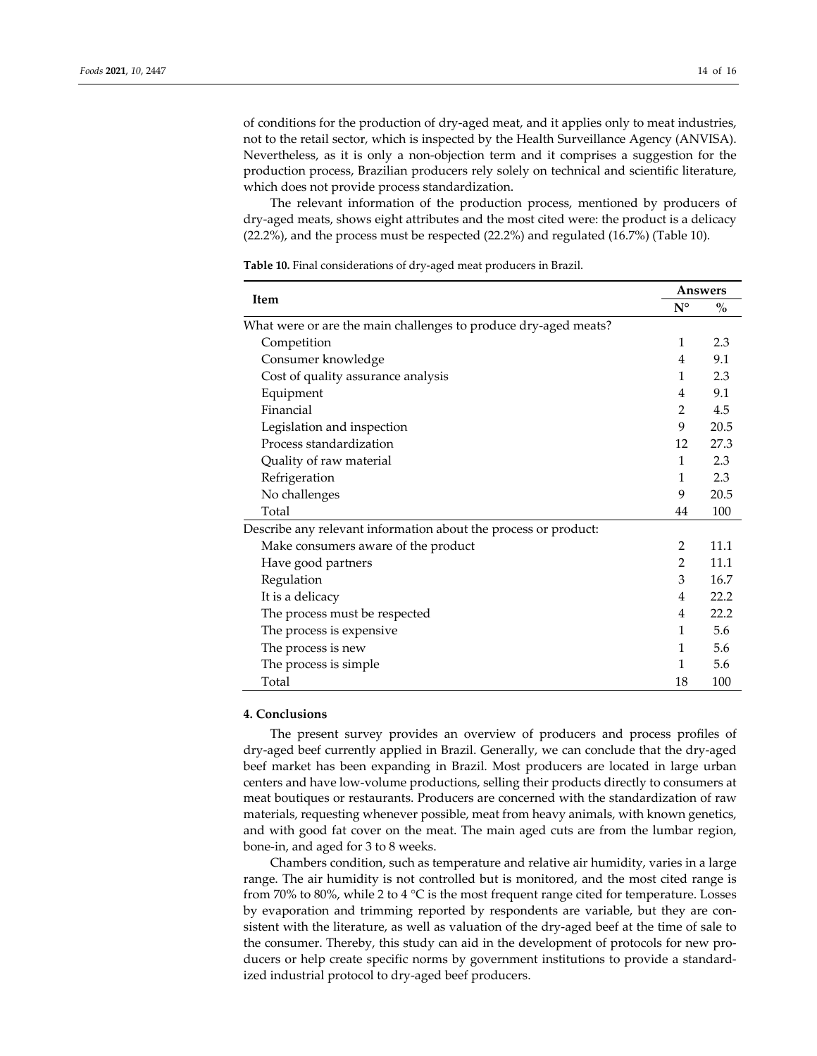of conditions for the production of dry‐aged meat, and it applies only to meat industries, not to the retail sector, which is inspected by the Health Surveillance Agency (ANVISA). Nevertheless, as it is only a non‐objection term and it comprises a suggestion for the production process, Brazilian producers rely solely on technical and scientific literature, which does not provide process standardization.

The relevant information of the production process, mentioned by producers of dry‐aged meats, shows eight attributes and the most cited were: the product is a delicacy (22.2%), and the process must be respected (22.2%) and regulated (16.7%) (Table 10).

| Item                                                            |                | Answers       |
|-----------------------------------------------------------------|----------------|---------------|
|                                                                 | $N^{\circ}$    | $\frac{0}{0}$ |
| What were or are the main challenges to produce dry-aged meats? |                |               |
| Competition                                                     | 1              | 2.3           |
| Consumer knowledge                                              | 4              | 9.1           |
| Cost of quality assurance analysis                              | 1              | 2.3           |
| Equipment                                                       | 4              | 9.1           |
| Financial                                                       | 2              | 4.5           |
| Legislation and inspection                                      | 9              | 20.5          |
| Process standardization                                         | 12             | 27.3          |
| Quality of raw material                                         | 1              | 2.3           |
| Refrigeration                                                   | 1              | 2.3           |
| No challenges                                                   | 9              | 20.5          |
| Total                                                           | 44             | 100           |
| Describe any relevant information about the process or product: |                |               |
| Make consumers aware of the product                             | $\overline{2}$ | 11.1          |
| Have good partners                                              | 2              | 11.1          |
| Regulation                                                      | 3              | 16.7          |
| It is a delicacy                                                | 4              | 22.2          |
| The process must be respected                                   | 4              | 22.2          |
| The process is expensive                                        | 1              | 5.6           |
| The process is new                                              | 1              | 5.6           |
| The process is simple                                           | 1              | 5.6           |
| Total                                                           | 18             | 100           |

**Table 10.** Final considerations of dry‐aged meat producers in Brazil.

# **4. Conclusions**

The present survey provides an overview of producers and process profiles of dry‐aged beef currently applied in Brazil. Generally, we can conclude that the dry‐aged beef market has been expanding in Brazil. Most producers are located in large urban centers and have low‐volume productions, selling their products directly to consumers at meat boutiques or restaurants. Producers are concerned with the standardization of raw materials, requesting whenever possible, meat from heavy animals, with known genetics, and with good fat cover on the meat. The main aged cuts are from the lumbar region, bone‐in, and aged for 3 to 8 weeks.

Chambers condition, such as temperature and relative air humidity, varies in a large range. The air humidity is not controlled but is monitored, and the most cited range is from 70% to 80%, while 2 to 4 °C is the most frequent range cited for temperature. Losses by evaporation and trimming reported by respondents are variable, but they are consistent with the literature, as well as valuation of the dry-aged beef at the time of sale to the consumer. Thereby, this study can aid in the development of protocols for new pro‐ ducers or help create specific norms by government institutions to provide a standardized industrial protocol to dry‐aged beef producers.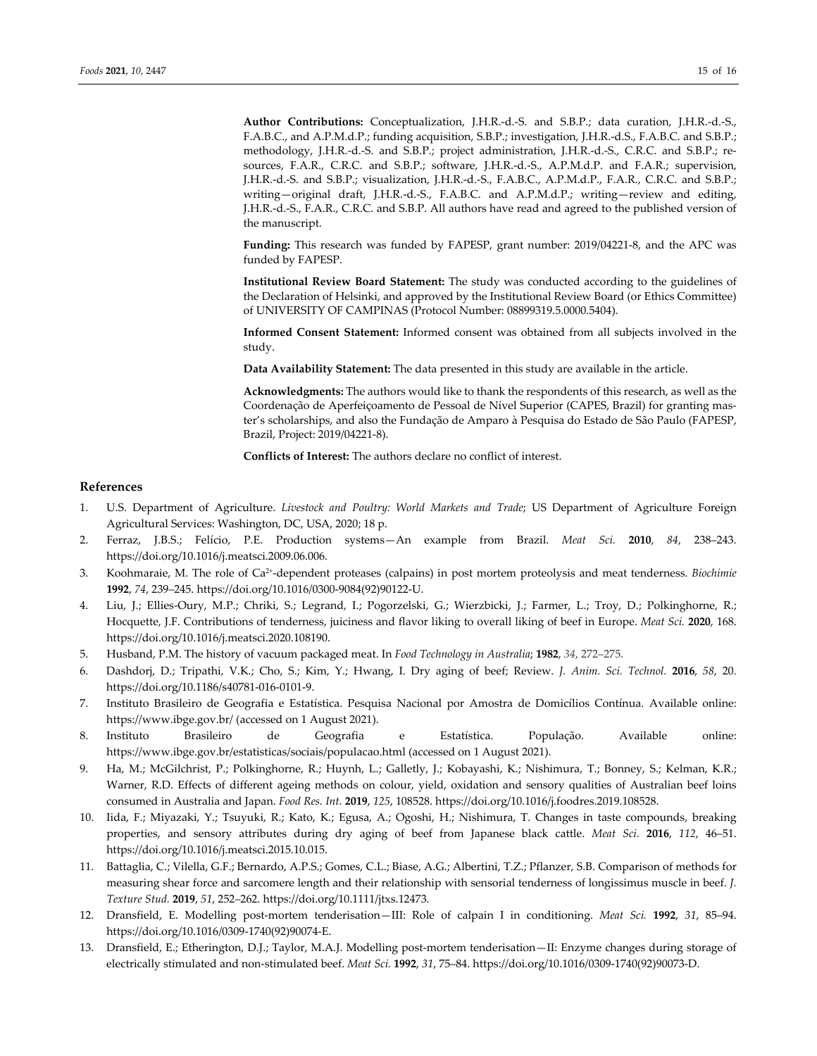**Author Contributions:** Conceptualization, J.H.R.‐d.‐S. and S.B.P.; data curation, J.H.R.‐d.‐S., F.A.B.C., and A.P.M.d.P.; funding acquisition, S.B.P.; investigation, J.H.R.‐d.S., F.A.B.C. and S.B.P.; methodology, J.H.R.‐d.‐S. and S.B.P.; project administration, J.H.R.‐d.‐S., C.R.C. and S.B.P.; re‐ sources, F.A.R., C.R.C. and S.B.P.; software, J.H.R.-d.-S., A.P.M.d.P. and F.A.R.; supervision, J.H.R.‐d.‐S. and S.B.P.; visualization, J.H.R.‐d.‐S., F.A.B.C., A.P.M.d.P., F.A.R., C.R.C. and S.B.P.; writing—original draft, J.H.R.-d.-S., F.A.B.C. and A.P.M.d.P.; writing—review and editing, J.H.R.‐d.‐S., F.A.R., C.R.C. and S.B.P. All authors have read and agreed to the published version of the manuscript.

Funding: This research was funded by FAPESP, grant number: 2019/04221-8, and the APC was funded by FAPESP.

**Institutional Review Board Statement:** The study was conducted according to the guidelines of the Declaration of Helsinki, and approved by the Institutional Review Board (or Ethics Committee) of UNIVERSITY OF CAMPINAS (Protocol Number: 08899319.5.0000.5404).

**Informed Consent Statement:** Informed consent was obtained from all subjects involved in the study.

**Data Availability Statement:** The data presented in this study are available in the article.

**Acknowledgments:** The authors would like to thank the respondents of this research, as well as the Coordenação de Aperfeiçoamento de Pessoal de Nível Superior (CAPES, Brazil) for granting mas‐ ter's scholarships, and also the Fundação de Amparo à Pesquisa do Estado de São Paulo (FAPESP, Brazil, Project: 2019/04221‐8).

**Conflicts of Interest:** The authors declare no conflict of interest.

#### **References**

- 1. U.S. Department of Agriculture. *Livestock and Poultry: World Markets and Trade*; US Department of Agriculture Foreign Agricultural Services: Washington, DC, USA, 2020; 18 p.
- 2. Ferraz, J.B.S.; Felício, P.E. Production systems—An example from Brazil. *Meat Sci.* **2010**, *84*, 238–243. https://doi.org/10.1016/j.meatsci.2009.06.006.
- 3. Koohmaraie, M. The role of Ca2+‐dependent proteases (calpains) in post mortem proteolysis and meat tenderness. *Biochimie* **1992**, *74*, 239–245. https://doi.org/10.1016/0300‐9084(92)90122‐U.
- 4. Liu, J.; Ellies‐Oury, M.P.; Chriki, S.; Legrand, I.; Pogorzelski, G.; Wierzbicki, J.; Farmer, L.; Troy, D.; Polkinghorne, R.; Hocquette, J.F. Contributions of tenderness, juiciness and flavor liking to overall liking of beef in Europe. *Meat Sci.* **2020**, 168. https://doi.org/10.1016/j.meatsci.2020.108190.
- 5. Husband, P.M. The history of vacuum packaged meat. In *Food Technology in Australia*; **1982**, *34*, 272–275.
- 6. Dashdorj, D.; Tripathi, V.K.; Cho, S.; Kim, Y.; Hwang, I. Dry aging of beef; Review. *J. Anim. Sci. Technol.* **2016**, *58*, 20. https://doi.org/10.1186/s40781‐016‐0101‐9.
- 7. Instituto Brasileiro de Geografia e Estatística. Pesquisa Nacional por Amostra de Domicílios Contínua. Available online: https://www.ibge.gov.br/ (accessed on 1 August 2021).
- 8. Instituto Brasileiro de Geografia e Estatística. População. Available online: https://www.ibge.gov.br/estatisticas/sociais/populacao.html (accessed on 1 August 2021).
- 9. Ha, M.; McGilchrist, P.; Polkinghorne, R.; Huynh, L.; Galletly, J.; Kobayashi, K.; Nishimura, T.; Bonney, S.; Kelman, K.R.; Warner, R.D. Effects of different ageing methods on colour, yield, oxidation and sensory qualities of Australian beef loins consumed in Australia and Japan. *Food Res. Int.* **2019**, *125*, 108528. https://doi.org/10.1016/j.foodres.2019.108528.
- 10. Iida, F.; Miyazaki, Y.; Tsuyuki, R.; Kato, K.; Egusa, A.; Ogoshi, H.; Nishimura, T. Changes in taste compounds, breaking properties, and sensory attributes during dry aging of beef from Japanese black cattle. *Meat Sci.* **2016**, *112*, 46–51. https://doi.org/10.1016/j.meatsci.2015.10.015.
- 11. Battaglia, C.; Vilella, G.F.; Bernardo, A.P.S.; Gomes, C.L.; Biase, A.G.; Albertini, T.Z.; Pflanzer, S.B. Comparison of methods for measuring shear force and sarcomere length and their relationship with sensorial tenderness of longissimus muscle in beef. *J. Texture Stud.* **2019**, *51*, 252–262. https://doi.org/10.1111/jtxs.12473.
- 12. Dransfield, E. Modelling post‐mortem tenderisation—III: Role of calpain I in conditioning. *Meat Sci.* **1992**, *31*, 85–94. https://doi.org/10.1016/0309‐1740(92)90074‐E.
- 13. Dransfield, E.; Etherington, D.J.; Taylor, M.A.J. Modelling post-mortem tenderisation—II: Enzyme changes during storage of electrically stimulated and non‐stimulated beef. *Meat Sci.* **1992**, *31*, 75–84. https://doi.org/10.1016/0309‐1740(92)90073‐D.